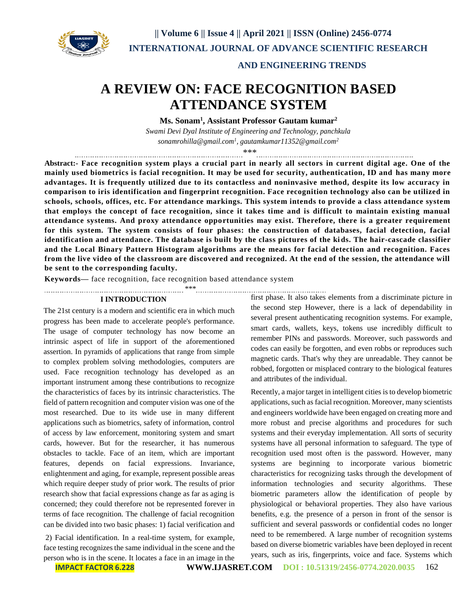

# **AND ENGINEERING TRENDS**

# **A REVIEW ON: FACE RECOGNITION BASED ATTENDANCE SYSTEM**

**Ms. Sonam<sup>1</sup> , Assistant Professor Gautam kumar<sup>2</sup>**

*Swami Devi Dyal Institute of Engineering and Technology, panchkula sonamrohilla@gmail.com<sup>1</sup> , gautamkumar11352@gmail.com<sup>2</sup>*

\*\*\*

**Abstract:- Face recognition system plays a crucial part in nearly all sectors in current digital age. One of the mainly used biometrics is facial recognition. It may be used for security, authentication, ID and has many more advantages. It is frequently utilized due to its contactless and noninvasive method, despite its low accuracy in comparison to iris identification and fingerprint recognition. Face recognition technology also can be utilized in schools, schools, offices, etc. For attendance markings. This system intends to provide a class attendance system that employs the concept of face recognition, since it takes time and is difficult to maintain existing manual attendance systems. And proxy attendance opportunities may exist. Therefore, there is a greater requirement for this system. The system consists of four phases: the construction of databases, facial detection, facial identification and attendance. The database is built by the class pictures of the ki ds. The hair-cascade classifier and the Local Binary Pattern Histogram algorithms are the means for facial detection and recognition. Faces from the live video of the classroom are discovered and recognized. At the end of the session, the attendance will be sent to the corresponding faculty.**

**Keywords—** face recognition, face recognition based attendance system

\*\*\*

#### **I INTRODUCTION**

The 21st century is a modern and scientific era in which much progress has been made to accelerate people's performance. The usage of computer technology has now become an intrinsic aspect of life in support of the aforementioned assertion. In pyramids of applications that range from simple to complex problem solving methodologies, computers are used. Face recognition technology has developed as an important instrument among these contributions to recognize the characteristics of faces by its intrinsic characteristics. The field of pattern recognition and computer vision was one of the most researched. Due to its wide use in many different applications such as biometrics, safety of information, control of access by law enforcement, monitoring system and smart cards, however. But for the researcher, it has numerous obstacles to tackle. Face of an item, which are important features, depends on facial expressions. Invariance, enlightenment and aging, for example, represent possible areas which require deeper study of prior work. The results of prior research show that facial expressions change as far as aging is concerned; they could therefore not be represented forever in terms of face recognition. The challenge of facial recognition can be divided into two basic phases: 1) facial verification and

2) Facial identification. In a real-time system, for example, face testing recognizes the same individual in the scene and the person who is in the scene. It locates a face in an image in the first phase. It also takes elements from a discriminate picture in the second step However, there is a lack of dependability in several present authenticating recognition systems. For example, smart cards, wallets, keys, tokens use incredibly difficult to remember PINs and passwords. Moreover, such passwords and codes can easily be forgotten, and even robbs or reproduces such magnetic cards. That's why they are unreadable. They cannot be robbed, forgotten or misplaced contrary to the biological features and attributes of the individual.

Recently, a major target in intelligent cities is to develop biometric applications, such as facial recognition. Moreover, many scientists and engineers worldwide have been engaged on creating more and more robust and precise algorithms and procedures for such systems and their everyday implementation. All sorts of security systems have all personal information to safeguard. The type of recognition used most often is the password. However, many systems are beginning to incorporate various biometric characteristics for recognizing tasks through the development of information technologies and security algorithms. These biometric parameters allow the identification of people by physiological or behavioral properties. They also have various benefits, e.g. the presence of a person in front of the sensor is sufficient and several passwords or confidential codes no longer need to be remembered. A large number of recognition systems based on diverse biometric variables have been deployed in recent years, such as iris, fingerprints, voice and face. Systems which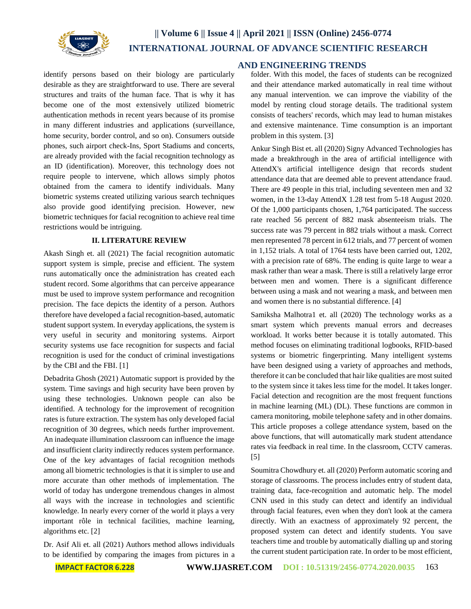

identify persons based on their biology are particularly desirable as they are straightforward to use. There are several structures and traits of the human face. That is why it has become one of the most extensively utilized biometric authentication methods in recent years because of its promise in many different industries and applications (surveillance, home security, border control, and so on). Consumers outside phones, such airport check-Ins, Sport Stadiums and concerts, are already provided with the facial recognition technology as an ID (identification). Moreover, this technology does not require people to intervene, which allows simply photos obtained from the camera to identify individuals. Many biometric systems created utilizing various search techniques also provide good identifying precision. However, new biometric techniques for facial recognition to achieve real time restrictions would be intriguing.

### **II. LITERATURE REVIEW**

Akash Singh et. all (2021) The facial recognition automatic support system is simple, precise and efficient. The system runs automatically once the administration has created each student record. Some algorithms that can perceive appearance must be used to improve system performance and recognition precision. The face depicts the identity of a person. Authors therefore have developed a facial recognition-based, automatic student support system. In everyday applications, the system is very useful in security and monitoring systems. Airport security systems use face recognition for suspects and facial recognition is used for the conduct of criminal investigations by the CBI and the FBI. [1]

Debadrita Ghosh (2021) Automatic support is provided by the system. Time savings and high security have been proven by using these technologies. Unknown people can also be identified. A technology for the improvement of recognition rates is future extraction. The system has only developed facial recognition of 30 degrees, which needs further improvement. An inadequate illumination classroom can influence the image and insufficient clarity indirectly reduces system performance. One of the key advantages of facial recognition methods among all biometric technologies is that it is simpler to use and more accurate than other methods of implementation. The world of today has undergone tremendous changes in almost all ways with the increase in technologies and scientific knowledge. In nearly every corner of the world it plays a very important rôle in technical facilities, machine learning, algorithms etc. [2]

Dr. Asif Ali et. all (2021) Authors method allows individuals to be identified by comparing the images from pictures in a

# **AND ENGINEERING TRENDS**

folder. With this model, the faces of students can be recognized and their attendance marked automatically in real time without any manual intervention. we can improve the viability of the model by renting cloud storage details. The traditional system consists of teachers' records, which may lead to human mistakes and extensive maintenance. Time consumption is an important problem in this system. [3]

Ankur Singh Bist et. all (2020) Signy Advanced Technologies has made a breakthrough in the area of artificial intelligence with AttendX's artificial intelligence design that records student attendance data that are deemed able to prevent attendance fraud. There are 49 people in this trial, including seventeen men and 32 women, in the 13-day AttendX 1.28 test from 5-18 August 2020. Of the 1,000 participants chosen, 1,764 participated. The success rate reached 56 percent of 882 mask absenteeism trials. The success rate was 79 percent in 882 trials without a mask. Correct men represented 78 percent in 612 trials, and 77 percent of women in 1,152 trials. A total of 1764 tests have been carried out, 1202, with a precision rate of 68%. The ending is quite large to wear a mask rather than wear a mask. There is still a relatively large error between men and women. There is a significant difference between using a mask and not wearing a mask, and between men and women there is no substantial difference. [4]

Samiksha Malhotra1 et. all (2020) The technology works as a smart system which prevents manual errors and decreases workload. It works better because it is totally automated. This method focuses on eliminating traditional logbooks, RFID-based systems or biometric fingerprinting. Many intelligent systems have been designed using a variety of approaches and methods, therefore it can be concluded that hair like qualities are most suited to the system since it takes less time for the model. It takes longer. Facial detection and recognition are the most frequent functions in machine learning (ML) (DL). These functions are common in camera monitoring, mobile telephone safety and in other domains. This article proposes a college attendance system, based on the above functions, that will automatically mark student attendance rates via feedback in real time. In the classroom, CCTV cameras. [5]

Soumitra Chowdhury et. all (2020) Perform automatic scoring and storage of classrooms. The process includes entry of student data, training data, face-recognition and automatic help. The model CNN used in this study can detect and identify an individual through facial features, even when they don't look at the camera directly. With an exactness of approximately 92 percent, the proposed system can detect and identify students. You save teachers time and trouble by automatically dialling up and storing the current student participation rate. In order to be most efficient,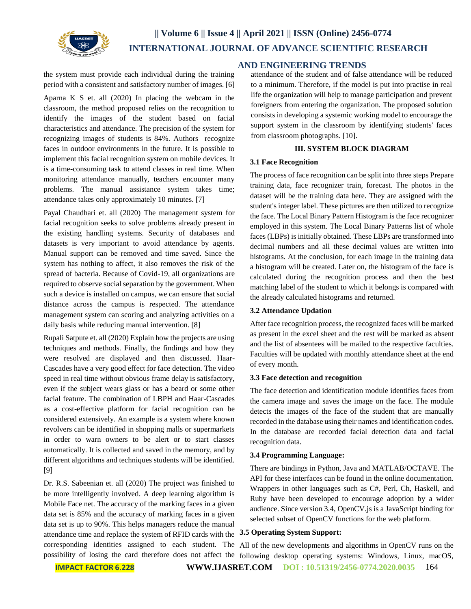

the system must provide each individual during the training period with a consistent and satisfactory number of images. [6]

Aparna K S et. all (2020) In placing the webcam in the classroom, the method proposed relies on the recognition to identify the images of the student based on facial characteristics and attendance. The precision of the system for recognizing images of students is 84%. Authors recognize faces in outdoor environments in the future. It is possible to implement this facial recognition system on mobile devices. It is a time-consuming task to attend classes in real time. When monitoring attendance manually, teachers encounter many problems. The manual assistance system takes time; attendance takes only approximately 10 minutes. [7]

Payal Chaudhari et. all (2020) The management system for facial recognition seeks to solve problems already present in the existing handling systems. Security of databases and datasets is very important to avoid attendance by agents. Manual support can be removed and time saved. Since the system has nothing to affect, it also removes the risk of the spread of bacteria. Because of Covid-19, all organizations are required to observe social separation by the government. When such a device is installed on campus, we can ensure that social distance across the campus is respected. The attendance management system can scoring and analyzing activities on a daily basis while reducing manual intervention. [8]

Rupali Satpute et. all (2020) Explain how the projects are using techniques and methods. Finally, the findings and how they were resolved are displayed and then discussed. Haar-Cascades have a very good effect for face detection. The video speed in real time without obvious frame delay is satisfactory, even if the subject wears glass or has a beard or some other facial feature. The combination of LBPH and Haar-Cascades as a cost-effective platform for facial recognition can be considered extensively. An example is a system where known revolvers can be identified in shopping malls or supermarkets in order to warn owners to be alert or to start classes automatically. It is collected and saved in the memory, and by different algorithms and techniques students will be identified. [9]

Dr. R.S. Sabeenian et. all (2020) The project was finished to be more intelligently involved. A deep learning algorithm is Mobile Face net. The accuracy of the marking faces in a given data set is 85% and the accuracy of marking faces in a given data set is up to 90%. This helps managers reduce the manual attendance time and replace the system of RFID cards with the **3.5 Operating System Support:**

# **AND ENGINEERING TRENDS**

attendance of the student and of false attendance will be reduced to a minimum. Therefore, if the model is put into practise in real life the organization will help to manage participation and prevent foreigners from entering the organization. The proposed solution consists in developing a systemic working model to encourage the support system in the classroom by identifying students' faces from classroom photographs. [10].

# **III. SYSTEM BLOCK DIAGRAM**

# **3.1 Face Recognition**

The process of face recognition can be split into three steps Prepare training data, face recognizer train, forecast. The photos in the dataset will be the training data here. They are assigned with the student's integer label. These pictures are then utilized to recognize the face. The Local Binary Pattern Histogram is the face recognizer employed in this system. The Local Binary Patterns list of whole faces (LBPs) is initially obtained. These LBPs are transformed into decimal numbers and all these decimal values are written into histograms. At the conclusion, for each image in the training data a histogram will be created. Later on, the histogram of the face is calculated during the recognition process and then the best matching label of the student to which it belongs is compared with the already calculated histograms and returned.

# **3.2 Attendance Updation**

After face recognition process, the recognized faces will be marked as present in the excel sheet and the rest will be marked as absent and the list of absentees will be mailed to the respective faculties. Faculties will be updated with monthly attendance sheet at the end of every month.

#### **3.3 Face detection and recognition**

The face detection and identification module identifies faces from the camera image and saves the image on the face. The module detects the images of the face of the student that are manually recorded in the database using their names and identification codes. In the database are recorded facial detection data and facial recognition data.

### **3.4 Programming Language:**

There are bindings in Python, Java and MATLAB/OCTAVE. The API for these interfaces can be found in the online documentation. Wrappers in other languages such as C#, Perl, Ch, Haskell, and Ruby have been developed to encourage adoption by a wider audience. Since version 3.4, OpenCV.js is a JavaScript binding for selected subset of OpenCV functions for the web platform.

corresponding identities assigned to each student. The All of the new developments and algorithms in OpenCV runs on the possibility of losing the card therefore does not affect the following desktop operating systems: Windows, Linux, macOS,

**IMPACT FACTOR 6.228 [WWW.IJASRET.COM](http://www.ijasret.com/) DOI : 10.51319/2456-0774.2020.0035** 164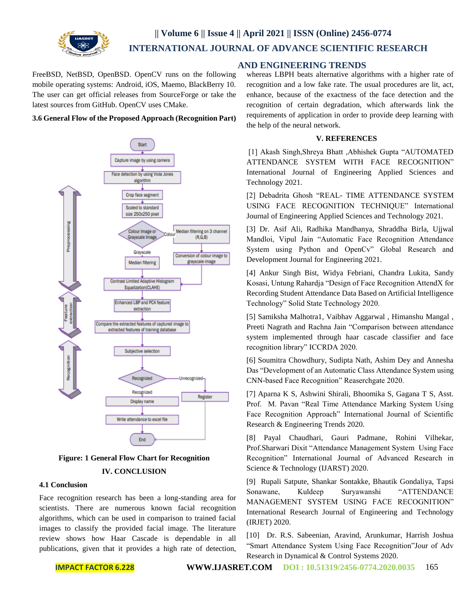

FreeBSD, NetBSD, OpenBSD. OpenCV runs on the following mobile operating systems: Android, iOS, Maemo, BlackBerry 10. The user can get official releases from SourceForge or take the latest sources from GitHub. OpenCV uses CMake.

#### **3.6 General Flow of the Proposed Approach (Recognition Part)**





# **IV. CONCLUSION**

#### **4.1 Conclusion**

Face recognition research has been a long-standing area for scientists. There are numerous known facial recognition algorithms, which can be used in comparison to trained facial images to classify the provided facial image. The literature review shows how Haar Cascade is dependable in all publications, given that it provides a high rate of detection,

# **AND ENGINEERING TRENDS**

whereas LBPH beats alternative algorithms with a higher rate of recognition and a low fake rate. The usual procedures are lit, act, enhance, because of the exactness of the face detection and the recognition of certain degradation, which afterwards link the requirements of application in order to provide deep learning with the help of the neural network.

## **V. REFERENCES**

[1] Akash Singh,Shreya Bhatt ,Abhishek Gupta "AUTOMATED ATTENDANCE SYSTEM WITH FACE RECOGNITION" International Journal of Engineering Applied Sciences and Technology 2021.

[2] Debadrita Ghosh "REAL- TIME ATTENDANCE SYSTEM USING FACE RECOGNITION TECHNIQUE" International Journal of Engineering Applied Sciences and Technology 2021.

[3] Dr. Asif Ali, Radhika Mandhanya, Shraddha Birla, Ujjwal Mandloi, Vipul Jain "Automatic Face Recognition Attendance System using Python and OpenCv" Global Research and Development Journal for Engineering 2021.

[4] Ankur Singh Bist, Widya Febriani, Chandra Lukita, Sandy Kosasi, Untung Rahardja "Design of Face Recognition AttendX for Recording Student Attendance Data Based on Artificial Intelligence Technology" Solid State Technology 2020.

[5] Samiksha Malhotra1, Vaibhav Aggarwal , Himanshu Mangal , Preeti Nagrath and Rachna Jain "Comparison between attendance system implemented through haar cascade classifier and face recognition library" ICCRDA 2020.

[6] Soumitra Chowdhury, Sudipta Nath, Ashim Dey and Annesha Das "Development of an Automatic Class Attendance System using CNN-based Face Recognition" Reaserchgate 2020.

[7] Aparna K S, Ashwini Shirali, Bhoomika S, Gagana T S, Asst. Prof. M. Pavan "Real Time Attendance Marking System Using Face Recognition Approach" International Journal of Scientific Research & Engineering Trends 2020.

[8] Payal Chaudhari, Gauri Padmane, Rohini Vilhekar, Prof.Sharwari Dixit "Attendance Management System Using Face Recognition" International Journal of Advanced Research in Science & Technology (IJARST) 2020.

[9] Rupali Satpute, Shankar Sontakke, Bhautik Gondaliya, Tapsi Sonawane, Kuldeep Suryawanshi "ATTENDANCE MANAGEMENT SYSTEM USING FACE RECOGNITION" International Research Journal of Engineering and Technology (IRJET) 2020.

[10] Dr. R.S. Sabeenian, Aravind, Arunkumar, Harrish Joshua "Smart Attendance System Using Face Recognition"Jour of Adv Research in Dynamical & Control Systems 2020.

**IMPACT FACTOR 6.228 [WWW.IJASRET.COM](http://www.ijasret.com/) DOI : 10.51319/2456-0774.2020.0035** 165